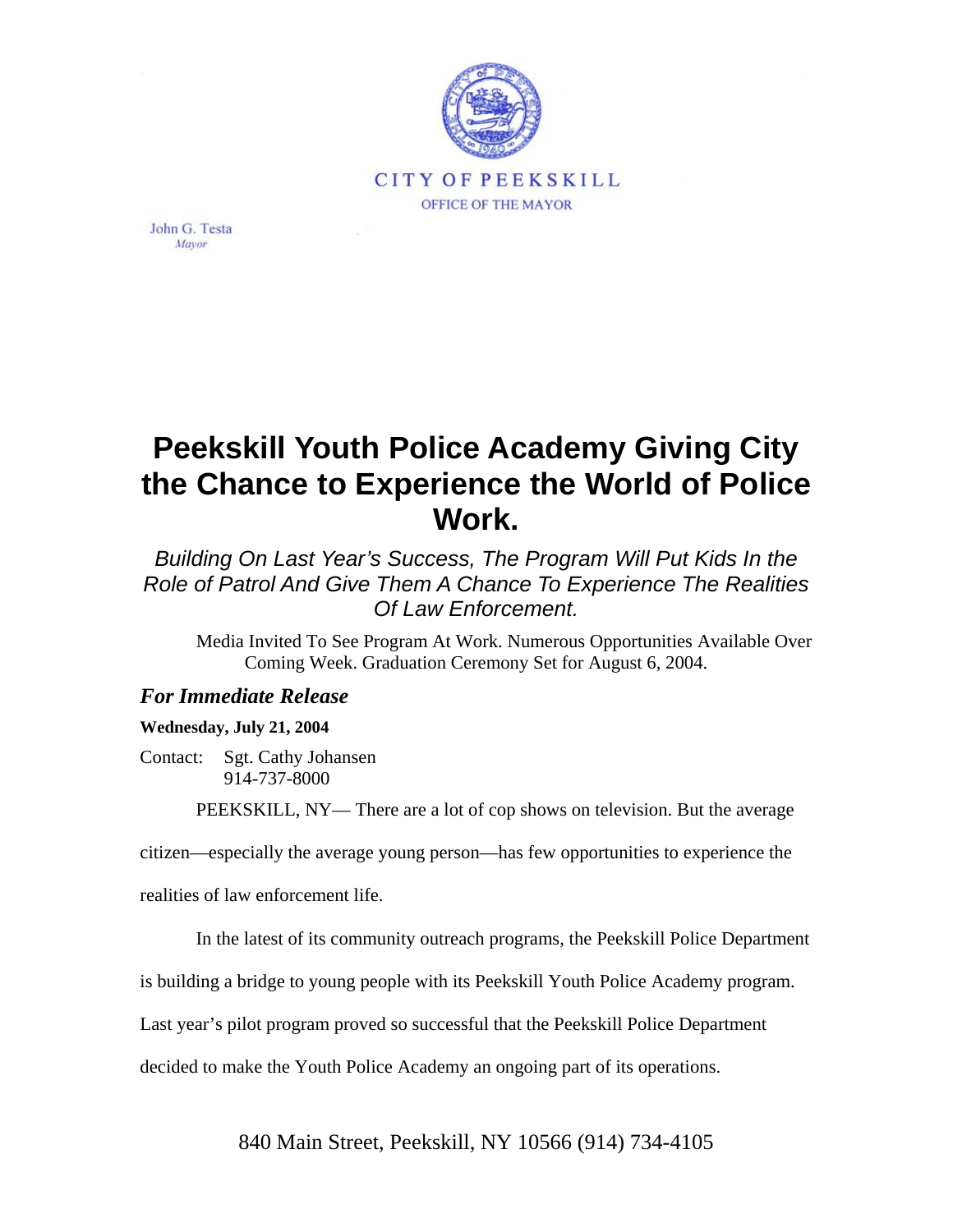

John G. Testa Mavor

## **Peekskill Youth Police Academy Giving City the Chance to Experience the World of Police Work.**

*Building On Last Year's Success, The Program Will Put Kids In the Role of Patrol And Give Them A Chance To Experience The Realities Of Law Enforcement.*

Media Invited To See Program At Work. Numerous Opportunities Available Over Coming Week. Graduation Ceremony Set for August 6, 2004.

## *For Immediate Release*

## **Wednesday, July 21, 2004**

Contact: Sgt. Cathy Johansen 914-737-8000

PEEKSKILL, NY— There are a lot of cop shows on television. But the average

citizen—especially the average young person—has few opportunities to experience the

realities of law enforcement life.

In the latest of its community outreach programs, the Peekskill Police Department

is building a bridge to young people with its Peekskill Youth Police Academy program.

Last year's pilot program proved so successful that the Peekskill Police Department

decided to make the Youth Police Academy an ongoing part of its operations.

840 Main Street, Peekskill, NY 10566 (914) 734-4105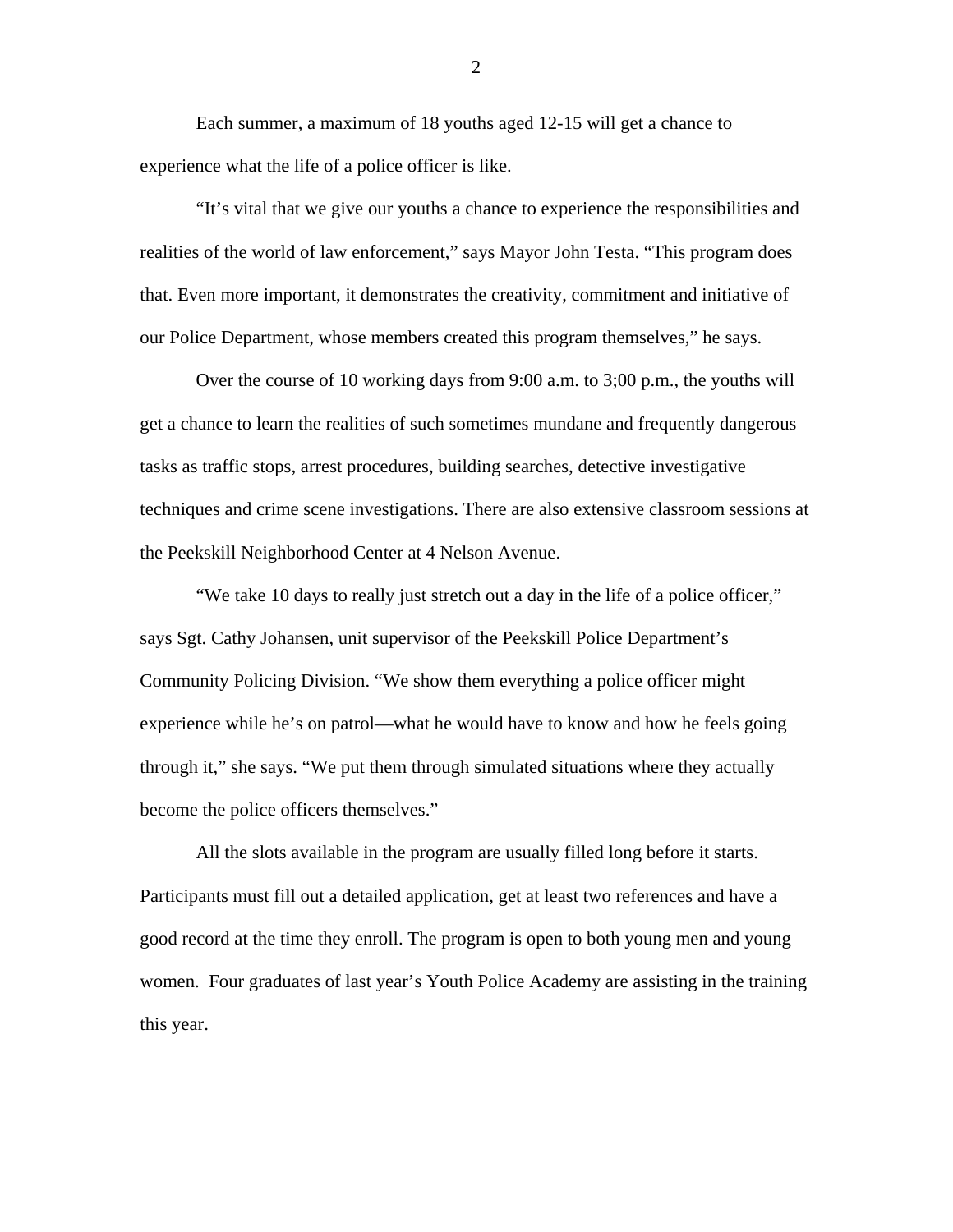Each summer, a maximum of 18 youths aged 12-15 will get a chance to experience what the life of a police officer is like.

"It's vital that we give our youths a chance to experience the responsibilities and realities of the world of law enforcement," says Mayor John Testa. "This program does that. Even more important, it demonstrates the creativity, commitment and initiative of our Police Department, whose members created this program themselves," he says.

Over the course of 10 working days from 9:00 a.m. to 3;00 p.m., the youths will get a chance to learn the realities of such sometimes mundane and frequently dangerous tasks as traffic stops, arrest procedures, building searches, detective investigative techniques and crime scene investigations. There are also extensive classroom sessions at the Peekskill Neighborhood Center at 4 Nelson Avenue.

"We take 10 days to really just stretch out a day in the life of a police officer," says Sgt. Cathy Johansen, unit supervisor of the Peekskill Police Department's Community Policing Division. "We show them everything a police officer might experience while he's on patrol—what he would have to know and how he feels going through it," she says. "We put them through simulated situations where they actually become the police officers themselves."

All the slots available in the program are usually filled long before it starts. Participants must fill out a detailed application, get at least two references and have a good record at the time they enroll. The program is open to both young men and young women. Four graduates of last year's Youth Police Academy are assisting in the training this year.

2